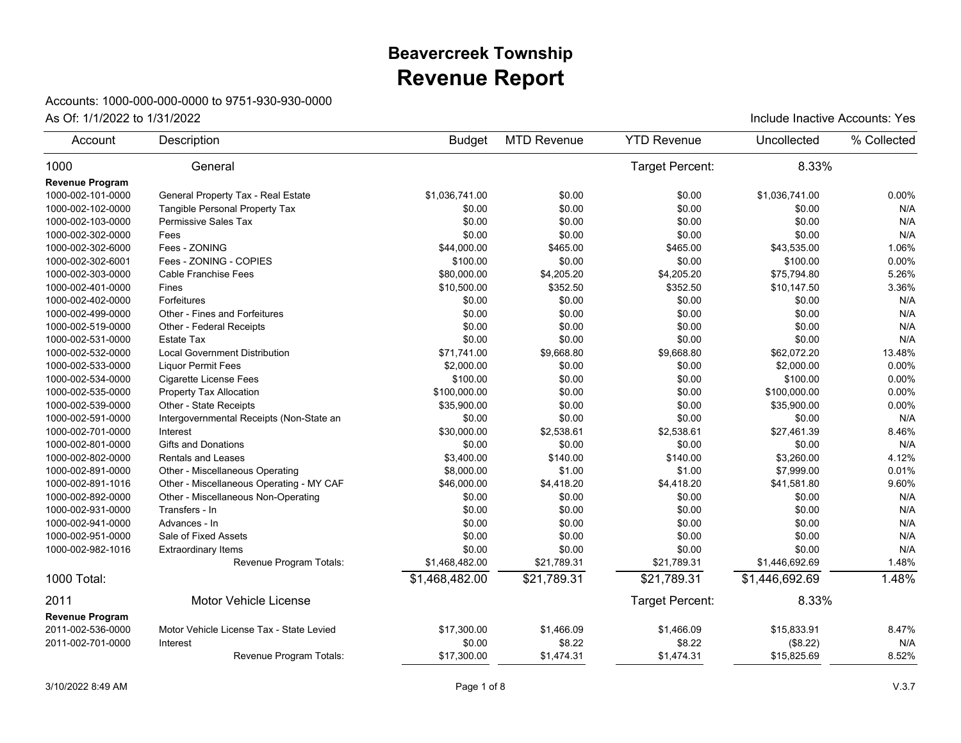## **Revenue Report Beavercreek Township**

## Accounts: 1000-000-000-0000 to 9751-930-930-0000

| Account                | Description                              | <b>Budget</b>  | <b>MTD Revenue</b> | <b>YTD Revenue</b>     | Uncollected    | % Collected |
|------------------------|------------------------------------------|----------------|--------------------|------------------------|----------------|-------------|
| 1000                   | General                                  |                |                    | <b>Target Percent:</b> | 8.33%          |             |
| <b>Revenue Program</b> |                                          |                |                    |                        |                |             |
| 1000-002-101-0000      | General Property Tax - Real Estate       | \$1,036,741.00 | \$0.00             | \$0.00                 | \$1,036,741.00 | 0.00%       |
| 1000-002-102-0000      | Tangible Personal Property Tax           | \$0.00         | \$0.00             | \$0.00                 | \$0.00         | N/A         |
| 1000-002-103-0000      | <b>Permissive Sales Tax</b>              | \$0.00         | \$0.00             | \$0.00                 | \$0.00         | N/A         |
| 1000-002-302-0000      | Fees                                     | \$0.00         | \$0.00             | \$0.00                 | \$0.00         | N/A         |
| 1000-002-302-6000      | Fees - ZONING                            | \$44,000.00    | \$465.00           | \$465.00               | \$43,535.00    | 1.06%       |
| 1000-002-302-6001      | Fees - ZONING - COPIES                   | \$100.00       | \$0.00             | \$0.00                 | \$100.00       | 0.00%       |
| 1000-002-303-0000      | Cable Franchise Fees                     | \$80,000.00    | \$4,205.20         | \$4,205.20             | \$75,794.80    | 5.26%       |
| 1000-002-401-0000      | Fines                                    | \$10,500.00    | \$352.50           | \$352.50               | \$10,147.50    | 3.36%       |
| 1000-002-402-0000      | Forfeitures                              | \$0.00         | \$0.00             | \$0.00                 | \$0.00         | N/A         |
| 1000-002-499-0000      | Other - Fines and Forfeitures            | \$0.00         | \$0.00             | \$0.00                 | \$0.00         | N/A         |
| 1000-002-519-0000      | Other - Federal Receipts                 | \$0.00         | \$0.00             | \$0.00                 | \$0.00         | N/A         |
| 1000-002-531-0000      | <b>Estate Tax</b>                        | \$0.00         | \$0.00             | \$0.00                 | \$0.00         | N/A         |
| 1000-002-532-0000      | <b>Local Government Distribution</b>     | \$71,741.00    | \$9,668.80         | \$9,668.80             | \$62,072.20    | 13.48%      |
| 1000-002-533-0000      | <b>Liquor Permit Fees</b>                | \$2,000.00     | \$0.00             | \$0.00                 | \$2,000.00     | 0.00%       |
| 1000-002-534-0000      | <b>Cigarette License Fees</b>            | \$100.00       | \$0.00             | \$0.00                 | \$100.00       | 0.00%       |
| 1000-002-535-0000      | Property Tax Allocation                  | \$100,000.00   | \$0.00             | \$0.00                 | \$100,000.00   | 0.00%       |
| 1000-002-539-0000      | Other - State Receipts                   | \$35,900.00    | \$0.00             | \$0.00                 | \$35,900.00    | 0.00%       |
| 1000-002-591-0000      | Intergovernmental Receipts (Non-State an | \$0.00         | \$0.00             | \$0.00                 | \$0.00         | N/A         |
| 1000-002-701-0000      | Interest                                 | \$30,000.00    | \$2,538.61         | \$2,538.61             | \$27,461.39    | 8.46%       |
| 1000-002-801-0000      | <b>Gifts and Donations</b>               | \$0.00         | \$0.00             | \$0.00                 | \$0.00         | N/A         |
| 1000-002-802-0000      | Rentals and Leases                       | \$3,400.00     | \$140.00           | \$140.00               | \$3,260.00     | 4.12%       |
| 1000-002-891-0000      | Other - Miscellaneous Operating          | \$8,000.00     | \$1.00             | \$1.00                 | \$7,999.00     | 0.01%       |
| 1000-002-891-1016      | Other - Miscellaneous Operating - MY CAF | \$46,000.00    | \$4,418.20         | \$4,418.20             | \$41,581.80    | 9.60%       |
| 1000-002-892-0000      | Other - Miscellaneous Non-Operating      | \$0.00         | \$0.00             | \$0.00                 | \$0.00         | N/A         |
| 1000-002-931-0000      | Transfers - In                           | \$0.00         | \$0.00             | \$0.00                 | \$0.00         | N/A         |
| 1000-002-941-0000      | Advances - In                            | \$0.00         | \$0.00             | \$0.00                 | \$0.00         | N/A         |
| 1000-002-951-0000      | Sale of Fixed Assets                     | \$0.00         | \$0.00             | \$0.00                 | \$0.00         | N/A         |
| 1000-002-982-1016      | <b>Extraordinary Items</b>               | \$0.00         | \$0.00             | \$0.00                 | \$0.00         | N/A         |
|                        | Revenue Program Totals:                  | \$1,468,482.00 | \$21,789.31        | \$21,789.31            | \$1,446,692.69 | 1.48%       |
| 1000 Total:            |                                          | \$1,468,482.00 | \$21,789.31        | \$21,789.31            | \$1,446,692.69 | 1.48%       |
| 2011                   | <b>Motor Vehicle License</b>             |                |                    | Target Percent:        | 8.33%          |             |
| <b>Revenue Program</b> |                                          |                |                    |                        |                |             |
| 2011-002-536-0000      | Motor Vehicle License Tax - State Levied | \$17,300.00    | \$1,466.09         | \$1,466.09             | \$15,833.91    | 8.47%       |
| 2011-002-701-0000      | Interest                                 | \$0.00         | \$8.22             | \$8.22                 | (\$8.22)       | N/A         |
|                        | Revenue Program Totals:                  | \$17,300.00    | \$1,474.31         | \$1,474.31             | \$15,825.69    | 8.52%       |
|                        |                                          |                |                    |                        |                |             |

As Of:  $1/1/2022$  to  $1/31/2022$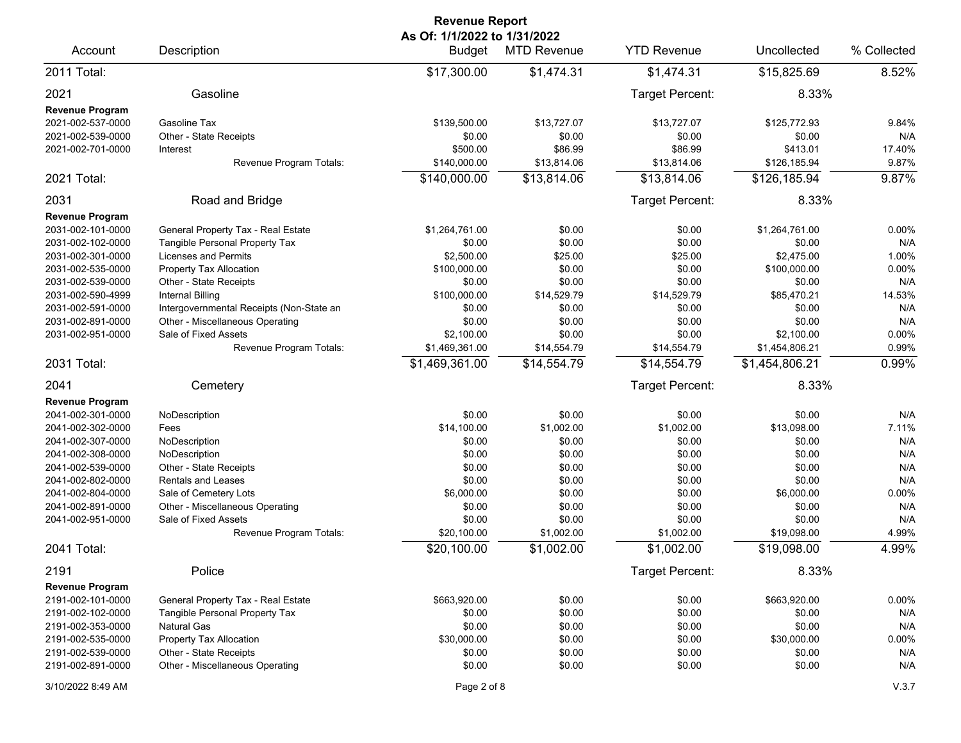| <b>Revenue Report</b>                                                                                                                                                                                                              |                                                                                                                                                                                                                                                                                     |                                                                                                                               |                                                                                                                        |                                                                                                                        |                                                                                                                               |                                                                                   |  |  |  |
|------------------------------------------------------------------------------------------------------------------------------------------------------------------------------------------------------------------------------------|-------------------------------------------------------------------------------------------------------------------------------------------------------------------------------------------------------------------------------------------------------------------------------------|-------------------------------------------------------------------------------------------------------------------------------|------------------------------------------------------------------------------------------------------------------------|------------------------------------------------------------------------------------------------------------------------|-------------------------------------------------------------------------------------------------------------------------------|-----------------------------------------------------------------------------------|--|--|--|
| Account                                                                                                                                                                                                                            | Description                                                                                                                                                                                                                                                                         | As Of: 1/1/2022 to 1/31/2022<br><b>Budget</b>                                                                                 | <b>MTD Revenue</b>                                                                                                     | <b>YTD Revenue</b>                                                                                                     | Uncollected                                                                                                                   | % Collected                                                                       |  |  |  |
| 2011 Total:                                                                                                                                                                                                                        |                                                                                                                                                                                                                                                                                     | \$17,300.00                                                                                                                   | \$1,474.31                                                                                                             | \$1,474.31                                                                                                             | \$15,825.69                                                                                                                   | 8.52%                                                                             |  |  |  |
| 2021<br><b>Revenue Program</b>                                                                                                                                                                                                     | Gasoline                                                                                                                                                                                                                                                                            |                                                                                                                               |                                                                                                                        | Target Percent:                                                                                                        | 8.33%                                                                                                                         |                                                                                   |  |  |  |
| 2021-002-537-0000<br>2021-002-539-0000<br>2021-002-701-0000                                                                                                                                                                        | Gasoline Tax<br>Other - State Receipts<br>Interest                                                                                                                                                                                                                                  | \$139,500.00<br>\$0.00<br>\$500.00                                                                                            | \$13,727.07<br>\$0.00<br>\$86.99                                                                                       | \$13,727.07<br>\$0.00<br>\$86.99                                                                                       | \$125,772.93<br>\$0.00<br>\$413.01                                                                                            | 9.84%<br>N/A<br>17.40%                                                            |  |  |  |
|                                                                                                                                                                                                                                    | Revenue Program Totals:                                                                                                                                                                                                                                                             | \$140,000.00                                                                                                                  | \$13,814.06                                                                                                            | \$13,814.06                                                                                                            | \$126,185.94                                                                                                                  | 9.87%                                                                             |  |  |  |
| 2021 Total:                                                                                                                                                                                                                        |                                                                                                                                                                                                                                                                                     | \$140,000.00                                                                                                                  | \$13,814.06                                                                                                            | \$13,814.06                                                                                                            | \$126,185.94                                                                                                                  | 9.87%                                                                             |  |  |  |
| 2031                                                                                                                                                                                                                               | Road and Bridge                                                                                                                                                                                                                                                                     |                                                                                                                               |                                                                                                                        | Target Percent:                                                                                                        | 8.33%                                                                                                                         |                                                                                   |  |  |  |
| <b>Revenue Program</b><br>2031-002-101-0000<br>2031-002-102-0000<br>2031-002-301-0000<br>2031-002-535-0000<br>2031-002-539-0000<br>2031-002-590-4999<br>2031-002-591-0000<br>2031-002-891-0000<br>2031-002-951-0000                | General Property Tax - Real Estate<br>Tangible Personal Property Tax<br>Licenses and Permits<br>Property Tax Allocation<br>Other - State Receipts<br><b>Internal Billing</b><br>Intergovernmental Receipts (Non-State an<br>Other - Miscellaneous Operating<br>Sale of Fixed Assets | \$1,264,761.00<br>\$0.00<br>\$2,500.00<br>\$100,000.00<br>\$0.00<br>\$100,000.00<br>\$0.00<br>\$0.00<br>\$2,100.00            | \$0.00<br>\$0.00<br>\$25.00<br>\$0.00<br>\$0.00<br>\$14,529.79<br>\$0.00<br>\$0.00<br>\$0.00                           | \$0.00<br>\$0.00<br>\$25.00<br>\$0.00<br>\$0.00<br>\$14,529.79<br>\$0.00<br>\$0.00<br>\$0.00                           | \$1,264,761.00<br>\$0.00<br>\$2,475.00<br>\$100,000.00<br>\$0.00<br>\$85,470.21<br>\$0.00<br>\$0.00<br>\$2,100.00             | 0.00%<br>N/A<br>1.00%<br>0.00%<br>N/A<br>14.53%<br>N/A<br>N/A<br>0.00%            |  |  |  |
|                                                                                                                                                                                                                                    | Revenue Program Totals:                                                                                                                                                                                                                                                             | \$1,469,361.00                                                                                                                | \$14,554.79                                                                                                            | \$14,554.79                                                                                                            | \$1,454,806.21                                                                                                                | 0.99%                                                                             |  |  |  |
| 2031 Total:                                                                                                                                                                                                                        |                                                                                                                                                                                                                                                                                     | \$1,469,361.00                                                                                                                | \$14,554.79                                                                                                            | \$14,554.79                                                                                                            | \$1,454,806.21                                                                                                                | 0.99%                                                                             |  |  |  |
| 2041                                                                                                                                                                                                                               | Cemetery                                                                                                                                                                                                                                                                            |                                                                                                                               |                                                                                                                        | Target Percent:                                                                                                        | 8.33%                                                                                                                         |                                                                                   |  |  |  |
| <b>Revenue Program</b><br>2041-002-301-0000<br>2041-002-302-0000<br>2041-002-307-0000<br>2041-002-308-0000<br>2041-002-539-0000<br>2041-002-802-0000<br>2041-002-804-0000<br>2041-002-891-0000<br>2041-002-951-0000<br>2041 Total: | NoDescription<br>Fees<br>NoDescription<br>NoDescription<br>Other - State Receipts<br><b>Rentals and Leases</b><br>Sale of Cemetery Lots<br>Other - Miscellaneous Operating<br>Sale of Fixed Assets<br>Revenue Program Totals:                                                       | \$0.00<br>\$14,100.00<br>\$0.00<br>\$0.00<br>\$0.00<br>\$0.00<br>\$6,000.00<br>\$0.00<br>\$0.00<br>\$20,100.00<br>\$20,100.00 | \$0.00<br>\$1,002.00<br>\$0.00<br>\$0.00<br>\$0.00<br>\$0.00<br>\$0.00<br>\$0.00<br>\$0.00<br>\$1,002.00<br>\$1,002.00 | \$0.00<br>\$1,002.00<br>\$0.00<br>\$0.00<br>\$0.00<br>\$0.00<br>\$0.00<br>\$0.00<br>\$0.00<br>\$1,002.00<br>\$1,002.00 | \$0.00<br>\$13,098.00<br>\$0.00<br>\$0.00<br>\$0.00<br>\$0.00<br>\$6,000.00<br>\$0.00<br>\$0.00<br>\$19,098.00<br>\$19,098.00 | N/A<br>7.11%<br>N/A<br>N/A<br>N/A<br>N/A<br>0.00%<br>N/A<br>N/A<br>4.99%<br>4.99% |  |  |  |
| 2191                                                                                                                                                                                                                               | Police                                                                                                                                                                                                                                                                              |                                                                                                                               |                                                                                                                        | Target Percent:                                                                                                        | 8.33%                                                                                                                         |                                                                                   |  |  |  |
| <b>Revenue Program</b><br>2191-002-101-0000<br>2191-002-102-0000<br>2191-002-353-0000<br>2191-002-535-0000<br>2191-002-539-0000<br>2191-002-891-0000                                                                               | General Property Tax - Real Estate<br>Tangible Personal Property Tax<br>Natural Gas<br>Property Tax Allocation<br>Other - State Receipts<br>Other - Miscellaneous Operating                                                                                                         | \$663,920.00<br>\$0.00<br>\$0.00<br>\$30,000.00<br>\$0.00<br>\$0.00                                                           | \$0.00<br>\$0.00<br>\$0.00<br>\$0.00<br>\$0.00<br>\$0.00                                                               | \$0.00<br>\$0.00<br>\$0.00<br>\$0.00<br>\$0.00<br>\$0.00                                                               | \$663,920.00<br>\$0.00<br>\$0.00<br>\$30,000.00<br>\$0.00<br>\$0.00                                                           | 0.00%<br>N/A<br>N/A<br>0.00%<br>N/A<br>N/A                                        |  |  |  |
| 3/10/2022 8:49 AM                                                                                                                                                                                                                  |                                                                                                                                                                                                                                                                                     | Page 2 of 8                                                                                                                   |                                                                                                                        |                                                                                                                        |                                                                                                                               | V.3.7                                                                             |  |  |  |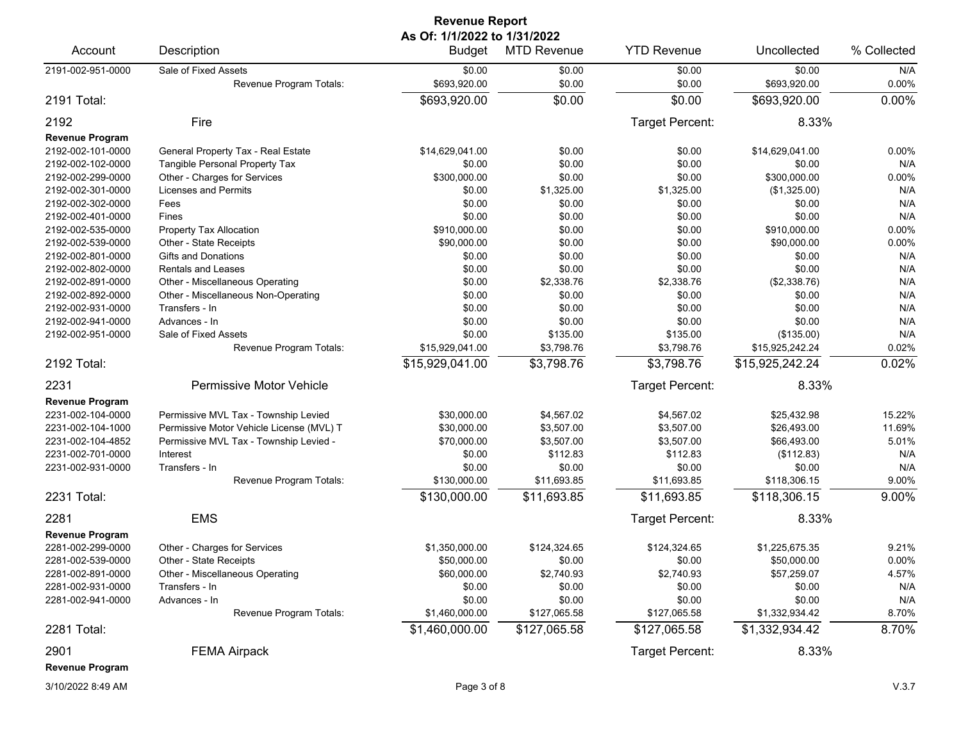| <b>Revenue Report</b>  |                                          |                                        |                    |                    |                 |             |  |  |
|------------------------|------------------------------------------|----------------------------------------|--------------------|--------------------|-----------------|-------------|--|--|
| Account                | Description                              | As Of: 1/1/2022 to 1/31/2022<br>Budget | <b>MTD Revenue</b> | <b>YTD Revenue</b> | Uncollected     | % Collected |  |  |
| 2191-002-951-0000      | Sale of Fixed Assets                     | \$0.00                                 | \$0.00             | \$0.00             | \$0.00          | N/A         |  |  |
|                        | Revenue Program Totals:                  | \$693,920.00                           | \$0.00             | \$0.00             | \$693,920.00    | 0.00%       |  |  |
| 2191 Total:            |                                          | \$693,920.00                           | \$0.00             | \$0.00             | \$693,920.00    | 0.00%       |  |  |
| 2192<br>Fire           |                                          |                                        |                    | Target Percent:    | 8.33%           |             |  |  |
| <b>Revenue Program</b> |                                          |                                        |                    |                    |                 |             |  |  |
| 2192-002-101-0000      | General Property Tax - Real Estate       | \$14,629,041.00                        | \$0.00             | \$0.00             | \$14,629,041.00 | 0.00%       |  |  |
| 2192-002-102-0000      | Tangible Personal Property Tax           | \$0.00                                 | \$0.00             | \$0.00             | \$0.00          | N/A         |  |  |
| 2192-002-299-0000      | Other - Charges for Services             | \$300,000.00                           | \$0.00             | \$0.00             | \$300,000.00    | 0.00%       |  |  |
| 2192-002-301-0000      | <b>Licenses and Permits</b>              | \$0.00                                 | \$1,325.00         | \$1,325.00         | (\$1,325.00)    | N/A         |  |  |
| 2192-002-302-0000      | Fees                                     | \$0.00                                 | \$0.00             | \$0.00             | \$0.00          | N/A         |  |  |
| 2192-002-401-0000      | Fines                                    | \$0.00                                 | \$0.00             | \$0.00             | \$0.00          | N/A         |  |  |
| 2192-002-535-0000      | Property Tax Allocation                  | \$910,000.00                           | \$0.00             | \$0.00             | \$910,000.00    | 0.00%       |  |  |
| 2192-002-539-0000      | Other - State Receipts                   | \$90,000.00                            | \$0.00             | \$0.00             | \$90,000.00     | 0.00%       |  |  |
| 2192-002-801-0000      | Gifts and Donations                      | \$0.00                                 | \$0.00             | \$0.00             | \$0.00          | N/A         |  |  |
| 2192-002-802-0000      | <b>Rentals and Leases</b>                | \$0.00                                 | \$0.00             | \$0.00             | \$0.00          | N/A         |  |  |
| 2192-002-891-0000      | Other - Miscellaneous Operating          | \$0.00                                 | \$2,338.76         | \$2,338.76         | (\$2,338.76)    | N/A         |  |  |
| 2192-002-892-0000      | Other - Miscellaneous Non-Operating      | \$0.00                                 | \$0.00             | \$0.00             | \$0.00          | N/A         |  |  |
| 2192-002-931-0000      | Transfers - In                           | \$0.00                                 | \$0.00             | \$0.00             | \$0.00          | N/A         |  |  |
| 2192-002-941-0000      | Advances - In                            | \$0.00                                 | \$0.00             | \$0.00             | \$0.00          | N/A         |  |  |
| 2192-002-951-0000      | Sale of Fixed Assets                     | \$0.00                                 | \$135.00           | \$135.00           | (\$135.00)      | N/A         |  |  |
|                        | Revenue Program Totals:                  | \$15,929,041.00                        | \$3,798.76         | \$3,798.76         | \$15,925,242.24 | 0.02%       |  |  |
| 2192 Total:            |                                          | \$15,929,041.00                        | \$3,798.76         | \$3,798.76         | \$15,925,242.24 | 0.02%       |  |  |
| 2231                   | Permissive Motor Vehicle                 |                                        |                    | Target Percent:    | 8.33%           |             |  |  |
| <b>Revenue Program</b> |                                          |                                        |                    |                    |                 |             |  |  |
| 2231-002-104-0000      | Permissive MVL Tax - Township Levied     | \$30,000.00                            | \$4,567.02         | \$4,567.02         | \$25,432.98     | 15.22%      |  |  |
| 2231-002-104-1000      | Permissive Motor Vehicle License (MVL) T | \$30,000.00                            | \$3,507.00         | \$3,507.00         | \$26,493.00     | 11.69%      |  |  |
| 2231-002-104-4852      | Permissive MVL Tax - Township Levied -   | \$70,000.00                            | \$3,507.00         | \$3,507.00         | \$66,493.00     | 5.01%       |  |  |
| 2231-002-701-0000      | Interest                                 | \$0.00                                 | \$112.83           | \$112.83           | (\$112.83)      | N/A         |  |  |
| 2231-002-931-0000      | Transfers - In                           | \$0.00                                 | \$0.00             | \$0.00             | \$0.00          | N/A         |  |  |
|                        | Revenue Program Totals:                  | \$130,000.00                           | \$11,693.85        | \$11,693.85        | \$118,306.15    | 9.00%       |  |  |
| 2231 Total:            |                                          | \$130,000.00                           | \$11,693.85        | \$11,693.85        | \$118,306.15    | 9.00%       |  |  |
| 2281                   | <b>EMS</b>                               |                                        |                    | Target Percent:    | 8.33%           |             |  |  |
| <b>Revenue Program</b> |                                          |                                        |                    |                    |                 |             |  |  |
| 2281-002-299-0000      | Other - Charges for Services             | \$1,350,000.00                         | \$124,324.65       | \$124,324.65       | \$1,225,675.35  | 9.21%       |  |  |
| 2281-002-539-0000      | Other - State Receipts                   | \$50,000.00                            | \$0.00             | \$0.00             | \$50,000.00     | 0.00%       |  |  |
| 2281-002-891-0000      | Other - Miscellaneous Operating          | \$60,000.00                            | \$2,740.93         | \$2,740.93         | \$57,259.07     | 4.57%       |  |  |
| 2281-002-931-0000      | Transfers - In                           | \$0.00                                 | \$0.00             | \$0.00             | \$0.00          | N/A         |  |  |
| 2281-002-941-0000      | Advances - In                            | \$0.00                                 | \$0.00             | \$0.00             | \$0.00          | N/A         |  |  |
|                        | Revenue Program Totals:                  | \$1,460,000.00                         | \$127,065.58       | \$127,065.58       | \$1,332,934.42  | 8.70%       |  |  |
| 2281 Total:            |                                          | \$1,460,000.00                         | \$127,065.58       | \$127,065.58       | \$1,332,934.42  | 8.70%       |  |  |
| 2901                   | <b>FEMA Airpack</b>                      |                                        |                    | Target Percent:    | 8.33%           |             |  |  |
| <b>Revenue Program</b> |                                          |                                        |                    |                    |                 |             |  |  |
|                        |                                          |                                        |                    |                    |                 |             |  |  |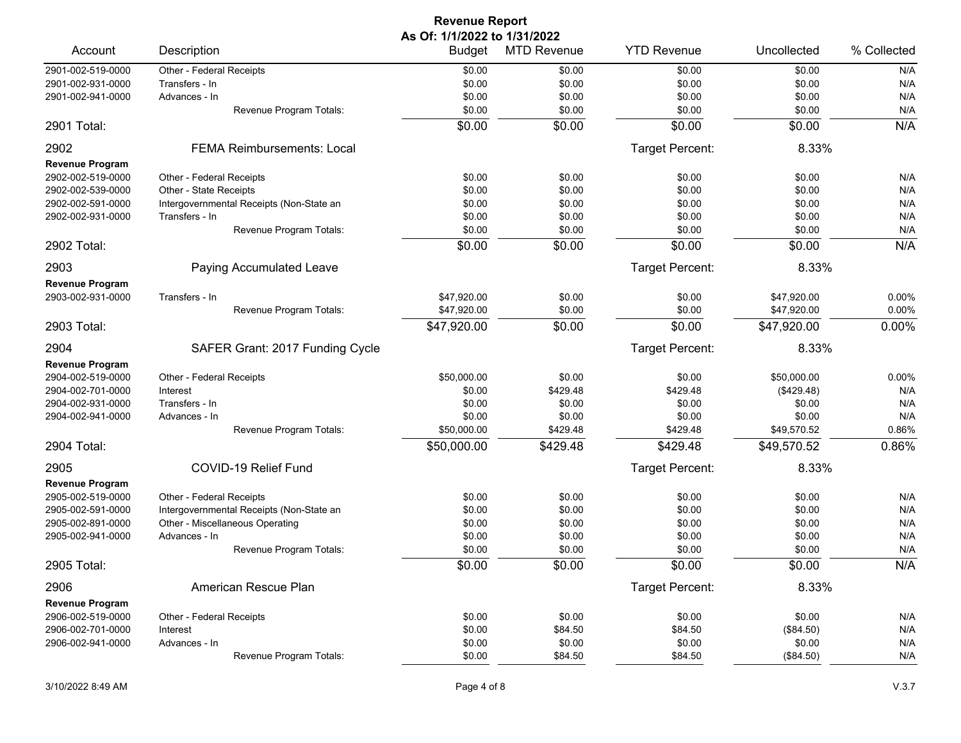| <b>Revenue Report</b>  |                                          |                              |                    |                    |             |             |  |
|------------------------|------------------------------------------|------------------------------|--------------------|--------------------|-------------|-------------|--|
|                        |                                          | As Of: 1/1/2022 to 1/31/2022 |                    |                    |             |             |  |
| Account                | Description                              | <b>Budget</b>                | <b>MTD Revenue</b> | <b>YTD Revenue</b> | Uncollected | % Collected |  |
| 2901-002-519-0000      | Other - Federal Receipts                 | \$0.00                       | \$0.00             | \$0.00             | \$0.00      | N/A         |  |
| 2901-002-931-0000      | Transfers - In                           | \$0.00                       | \$0.00             | \$0.00             | \$0.00      | N/A         |  |
| 2901-002-941-0000      | Advances - In                            | \$0.00                       | \$0.00             | \$0.00             | \$0.00      | N/A         |  |
|                        | Revenue Program Totals:                  | \$0.00                       | \$0.00             | \$0.00             | \$0.00      | N/A         |  |
| 2901 Total:            |                                          | \$0.00                       | \$0.00             | \$0.00             | \$0.00      | N/A         |  |
| 2902                   | <b>FEMA Reimbursements: Local</b>        |                              |                    | Target Percent:    | 8.33%       |             |  |
| <b>Revenue Program</b> |                                          |                              |                    |                    |             |             |  |
| 2902-002-519-0000      | Other - Federal Receipts                 | \$0.00                       | \$0.00             | \$0.00             | \$0.00      | N/A         |  |
| 2902-002-539-0000      | Other - State Receipts                   | \$0.00                       | \$0.00             | \$0.00             | \$0.00      | N/A         |  |
| 2902-002-591-0000      | Intergovernmental Receipts (Non-State an | \$0.00                       | \$0.00             | \$0.00             | \$0.00      | N/A         |  |
| 2902-002-931-0000      | Transfers - In                           | \$0.00                       | \$0.00             | \$0.00             | \$0.00      | N/A         |  |
|                        | Revenue Program Totals:                  | \$0.00                       | \$0.00             | \$0.00             | \$0.00      | N/A         |  |
| 2902 Total:            |                                          | \$0.00                       | \$0.00             | \$0.00             | \$0.00      | N/A         |  |
| 2903                   | Paying Accumulated Leave                 |                              |                    | Target Percent:    | 8.33%       |             |  |
| <b>Revenue Program</b> |                                          |                              |                    |                    |             |             |  |
| 2903-002-931-0000      | Transfers - In                           | \$47,920.00                  | \$0.00             | \$0.00             | \$47,920.00 | 0.00%       |  |
|                        | Revenue Program Totals:                  | \$47,920.00                  | \$0.00             | \$0.00             | \$47,920.00 | 0.00%       |  |
| 2903 Total:            |                                          | \$47,920.00                  | \$0.00             | \$0.00             | \$47,920.00 | 0.00%       |  |
| 2904                   | SAFER Grant: 2017 Funding Cycle          |                              |                    | Target Percent:    | 8.33%       |             |  |
| <b>Revenue Program</b> |                                          |                              |                    |                    |             |             |  |
| 2904-002-519-0000      | Other - Federal Receipts                 | \$50,000.00                  | \$0.00             | \$0.00             | \$50,000.00 | 0.00%       |  |
| 2904-002-701-0000      | Interest                                 | \$0.00                       | \$429.48           | \$429.48           | (\$429.48)  | N/A         |  |
| 2904-002-931-0000      | Transfers - In                           | \$0.00                       | \$0.00             | \$0.00             | \$0.00      | N/A         |  |
| 2904-002-941-0000      | Advances - In                            | \$0.00                       | \$0.00             | \$0.00             | \$0.00      | N/A         |  |
|                        | Revenue Program Totals:                  | \$50,000.00                  | \$429.48           | \$429.48           | \$49,570.52 | 0.86%       |  |
| 2904 Total:            |                                          | \$50,000.00                  | \$429.48           | \$429.48           | \$49,570.52 | 0.86%       |  |
|                        |                                          |                              |                    |                    |             |             |  |
| 2905                   | COVID-19 Relief Fund                     |                              |                    | Target Percent:    | 8.33%       |             |  |
| <b>Revenue Program</b> |                                          |                              |                    |                    |             |             |  |
| 2905-002-519-0000      | Other - Federal Receipts                 | \$0.00                       | \$0.00             | \$0.00             | \$0.00      | N/A         |  |
| 2905-002-591-0000      | Intergovernmental Receipts (Non-State an | \$0.00                       | \$0.00             | \$0.00             | \$0.00      | N/A         |  |
| 2905-002-891-0000      | Other - Miscellaneous Operating          | \$0.00                       | \$0.00             | \$0.00             | \$0.00      | N/A         |  |
| 2905-002-941-0000      | Advances - In                            | \$0.00                       | \$0.00             | \$0.00             | \$0.00      | N/A         |  |
|                        | Revenue Program Totals:                  | \$0.00                       | \$0.00             | \$0.00             | \$0.00      | N/A         |  |
| 2905 Total:            |                                          | \$0.00                       | \$0.00             | \$0.00             | \$0.00      | N/A         |  |
| 2906                   | American Rescue Plan                     |                              |                    | Target Percent:    | 8.33%       |             |  |
| <b>Revenue Program</b> |                                          |                              |                    |                    |             |             |  |
| 2906-002-519-0000      | Other - Federal Receipts                 | \$0.00                       | \$0.00             | \$0.00             | \$0.00      | N/A         |  |
| 2906-002-701-0000      | Interest                                 | \$0.00                       | \$84.50            | \$84.50            | (\$84.50)   | N/A         |  |
| 2906-002-941-0000      | Advances - In                            | \$0.00                       | \$0.00             | \$0.00             | \$0.00      | N/A         |  |
|                        | Revenue Program Totals:                  | \$0.00                       | \$84.50            | \$84.50            | (\$84.50)   | N/A         |  |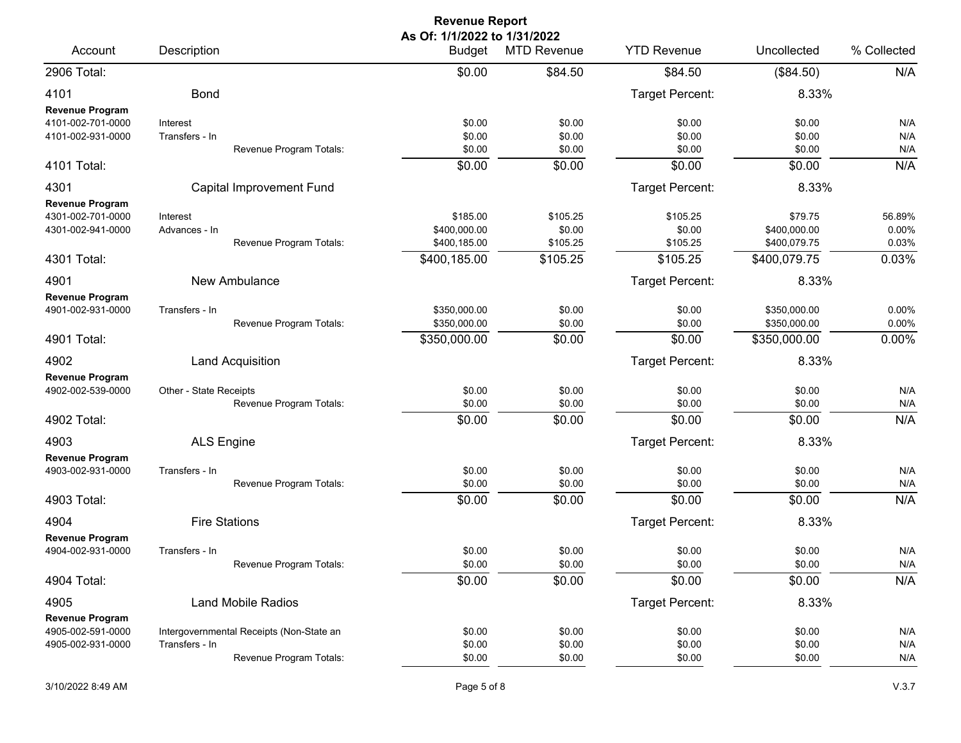## **Revenue Report As Of: 1/1/2022 to 1/31/2022**

|                                                                  | Description                |                                                                     | <b>Budget</b>                            | <b>MTD Revenue</b>             | <b>YTD Revenue</b>             | Uncollected                             | % Collected              |
|------------------------------------------------------------------|----------------------------|---------------------------------------------------------------------|------------------------------------------|--------------------------------|--------------------------------|-----------------------------------------|--------------------------|
| 2906 Total:                                                      |                            |                                                                     | \$0.00                                   | \$84.50                        | \$84.50                        | (\$84.50)                               | N/A                      |
| 4101                                                             | <b>Bond</b>                |                                                                     |                                          |                                | <b>Target Percent:</b>         | 8.33%                                   |                          |
| Revenue Program<br>4101-002-701-0000<br>4101-002-931-0000        | Interest<br>Transfers - In | Revenue Program Totals:                                             | \$0.00<br>\$0.00<br>\$0.00               | \$0.00<br>\$0.00<br>\$0.00     | \$0.00<br>\$0.00<br>\$0.00     | \$0.00<br>\$0.00<br>\$0.00              | N/A<br>N/A<br>N/A        |
| 4101 Total:                                                      |                            |                                                                     | \$0.00                                   | \$0.00                         | \$0.00                         | \$0.00                                  | N/A                      |
| 4301                                                             |                            | <b>Capital Improvement Fund</b>                                     |                                          |                                | <b>Target Percent:</b>         | 8.33%                                   |                          |
| <b>Revenue Program</b><br>4301-002-701-0000<br>4301-002-941-0000 | Interest<br>Advances - In  | Revenue Program Totals:                                             | \$185.00<br>\$400,000.00<br>\$400,185.00 | \$105.25<br>\$0.00<br>\$105.25 | \$105.25<br>\$0.00<br>\$105.25 | \$79.75<br>\$400,000.00<br>\$400,079.75 | 56.89%<br>0.00%<br>0.03% |
| 4301 Total:                                                      |                            |                                                                     | \$400,185.00                             | \$105.25                       | \$105.25                       | \$400,079.75                            | 0.03%                    |
| 4901                                                             |                            | <b>New Ambulance</b>                                                |                                          |                                | <b>Target Percent:</b>         | 8.33%                                   |                          |
| <b>Revenue Program</b><br>4901-002-931-0000                      | Transfers - In             | Revenue Program Totals:                                             | \$350,000.00<br>\$350,000.00             | \$0.00<br>\$0.00               | \$0.00<br>\$0.00               | \$350,000.00<br>\$350,000.00            | 0.00%<br>0.00%           |
| 4901 Total:                                                      |                            |                                                                     | \$350,000.00                             | \$0.00                         | \$0.00                         | \$350,000.00                            | 0.00%                    |
| 4902                                                             |                            | <b>Land Acquisition</b>                                             |                                          |                                | <b>Target Percent:</b>         | 8.33%                                   |                          |
| <b>Revenue Program</b><br>4902-002-539-0000                      | Other - State Receipts     | Revenue Program Totals:                                             | \$0.00<br>\$0.00                         | \$0.00<br>\$0.00               | \$0.00<br>\$0.00               | \$0.00<br>\$0.00                        | N/A<br>N/A               |
| 4902 Total:                                                      |                            |                                                                     | \$0.00                                   | \$0.00                         | \$0.00                         | \$0.00                                  | N/A                      |
| 4903                                                             | <b>ALS Engine</b>          |                                                                     |                                          |                                | <b>Target Percent:</b>         | 8.33%                                   |                          |
| <b>Revenue Program</b><br>4903-002-931-0000                      | Transfers - In             | Revenue Program Totals:                                             | \$0.00<br>\$0.00                         | \$0.00<br>\$0.00               | \$0.00<br>\$0.00               | \$0.00<br>\$0.00                        | N/A<br>N/A               |
| 4903 Total:                                                      |                            |                                                                     | \$0.00                                   | \$0.00                         | \$0.00                         | \$0.00                                  | N/A                      |
| 4904                                                             |                            | <b>Fire Stations</b>                                                |                                          |                                | <b>Target Percent:</b>         | 8.33%                                   |                          |
| <b>Revenue Program</b><br>4904-002-931-0000                      | Transfers - In             | Revenue Program Totals:                                             | \$0.00<br>\$0.00                         | \$0.00<br>\$0.00               | \$0.00<br>\$0.00               | \$0.00<br>\$0.00                        | N/A<br>N/A               |
| 4904 Total:                                                      |                            |                                                                     | \$0.00                                   | \$0.00                         | \$0.00                         | \$0.00                                  | N/A                      |
| 4905                                                             |                            | <b>Land Mobile Radios</b>                                           |                                          |                                | <b>Target Percent:</b>         | 8.33%                                   |                          |
| <b>Revenue Program</b><br>4905-002-591-0000<br>4905-002-931-0000 | Transfers - In             | Intergovernmental Receipts (Non-State an<br>Revenue Program Totals: | \$0.00<br>\$0.00<br>\$0.00               | \$0.00<br>\$0.00<br>\$0.00     | \$0.00<br>\$0.00<br>\$0.00     | \$0.00<br>\$0.00<br>\$0.00              | N/A<br>N/A<br>N/A        |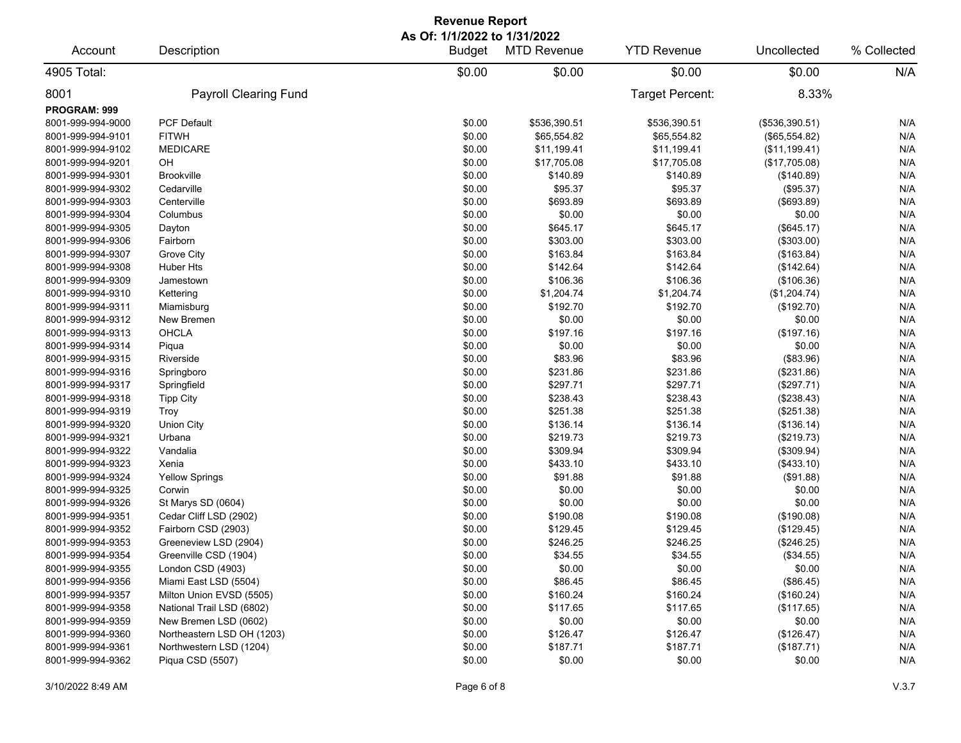| <b>Revenue Report</b> |                              |                                               |                    |                    |                |             |  |  |
|-----------------------|------------------------------|-----------------------------------------------|--------------------|--------------------|----------------|-------------|--|--|
| Account               | Description                  | As Of: 1/1/2022 to 1/31/2022<br><b>Budget</b> | <b>MTD Revenue</b> | <b>YTD Revenue</b> | Uncollected    | % Collected |  |  |
| 4905 Total:           |                              | \$0.00                                        | \$0.00             | \$0.00             | \$0.00         | N/A         |  |  |
| 8001                  | <b>Payroll Clearing Fund</b> |                                               |                    | Target Percent:    | 8.33%          |             |  |  |
| <b>PROGRAM: 999</b>   |                              |                                               |                    |                    |                |             |  |  |
| 8001-999-994-9000     | PCF Default                  | \$0.00                                        | \$536,390.51       | \$536,390.51       | (\$536,390.51) | N/A         |  |  |
| 8001-999-994-9101     | <b>FITWH</b>                 | \$0.00                                        | \$65,554.82        | \$65,554.82        | (\$65,554.82)  | N/A         |  |  |
| 8001-999-994-9102     | <b>MEDICARE</b>              | \$0.00                                        | \$11,199.41        | \$11,199.41        | (\$11,199.41)  | N/A         |  |  |
| 8001-999-994-9201     | OH                           | \$0.00                                        | \$17,705.08        | \$17,705.08        | (\$17,705.08)  | N/A         |  |  |
| 8001-999-994-9301     | <b>Brookville</b>            | \$0.00                                        | \$140.89           | \$140.89           | (\$140.89)     | N/A         |  |  |
| 8001-999-994-9302     | Cedarville                   | \$0.00                                        | \$95.37            | \$95.37            | (\$95.37)      | N/A         |  |  |
| 8001-999-994-9303     | Centerville                  | \$0.00                                        | \$693.89           | \$693.89           | (\$693.89)     | N/A         |  |  |
| 8001-999-994-9304     | Columbus                     | \$0.00                                        | \$0.00             | \$0.00             | \$0.00         | N/A         |  |  |
| 8001-999-994-9305     | Dayton                       | \$0.00                                        | \$645.17           | \$645.17           | (\$645.17)     | N/A         |  |  |
| 8001-999-994-9306     | Fairborn                     | \$0.00                                        | \$303.00           | \$303.00           | (\$303.00)     | N/A         |  |  |
| 8001-999-994-9307     | Grove City                   | \$0.00                                        | \$163.84           | \$163.84           | (\$163.84)     | N/A         |  |  |
| 8001-999-994-9308     | <b>Huber Hts</b>             | \$0.00                                        | \$142.64           | \$142.64           | (\$142.64)     | N/A         |  |  |
| 8001-999-994-9309     | Jamestown                    | \$0.00                                        | \$106.36           | \$106.36           | (\$106.36)     | N/A         |  |  |
| 8001-999-994-9310     | Kettering                    | \$0.00                                        | \$1,204.74         | \$1,204.74         | (\$1,204.74)   | N/A         |  |  |
| 8001-999-994-9311     | Miamisburg                   | \$0.00                                        | \$192.70           | \$192.70           | (\$192.70)     | N/A         |  |  |
| 8001-999-994-9312     | New Bremen                   | \$0.00                                        | \$0.00             | \$0.00             | \$0.00         | N/A         |  |  |
| 8001-999-994-9313     | OHCLA                        | \$0.00                                        | \$197.16           | \$197.16           | (\$197.16)     | N/A         |  |  |
| 8001-999-994-9314     | Piqua                        | \$0.00                                        | \$0.00             | \$0.00             | \$0.00         | N/A         |  |  |
| 8001-999-994-9315     | Riverside                    | \$0.00                                        | \$83.96            | \$83.96            | (\$83.96)      | N/A         |  |  |
| 8001-999-994-9316     | Springboro                   | \$0.00                                        | \$231.86           | \$231.86           | (\$231.86)     | N/A         |  |  |
| 8001-999-994-9317     | Springfield                  | \$0.00                                        | \$297.71           | \$297.71           | (\$297.71)     | N/A         |  |  |
| 8001-999-994-9318     | <b>Tipp City</b>             | \$0.00                                        | \$238.43           | \$238.43           | (\$238.43)     | N/A         |  |  |
| 8001-999-994-9319     | Troy                         | \$0.00                                        | \$251.38           | \$251.38           | (\$251.38)     | N/A         |  |  |
| 8001-999-994-9320     | <b>Union City</b>            | \$0.00                                        | \$136.14           | \$136.14           | (\$136.14)     | N/A         |  |  |
|                       |                              |                                               |                    |                    |                | N/A         |  |  |
| 8001-999-994-9321     | Urbana                       | \$0.00                                        | \$219.73           | \$219.73           | (\$219.73)     |             |  |  |
| 8001-999-994-9322     | Vandalia                     | \$0.00                                        | \$309.94           | \$309.94           | (\$309.94)     | N/A         |  |  |
| 8001-999-994-9323     | Xenia                        | \$0.00                                        | \$433.10           | \$433.10           | (\$433.10)     | N/A         |  |  |
| 8001-999-994-9324     | <b>Yellow Springs</b>        | \$0.00                                        | \$91.88            | \$91.88            | (\$91.88)      | N/A         |  |  |
| 8001-999-994-9325     | Corwin                       | \$0.00                                        | \$0.00             | \$0.00             | \$0.00         | N/A         |  |  |
| 8001-999-994-9326     | St Marys SD (0604)           | \$0.00                                        | \$0.00             | \$0.00             | \$0.00         | N/A         |  |  |
| 8001-999-994-9351     | Cedar Cliff LSD (2902)       | \$0.00                                        | \$190.08           | \$190.08           | (\$190.08)     | N/A         |  |  |
| 8001-999-994-9352     | Fairborn CSD (2903)          | \$0.00                                        | \$129.45           | \$129.45           | (\$129.45)     | N/A         |  |  |
| 8001-999-994-9353     | Greeneview LSD (2904)        | \$0.00                                        | \$246.25           | \$246.25           | (\$246.25)     | N/A         |  |  |
| 8001-999-994-9354     | Greenville CSD (1904)        | \$0.00                                        | \$34.55            | \$34.55            | (\$34.55)      | N/A         |  |  |
| 8001-999-994-9355     | London CSD (4903)            | \$0.00                                        | \$0.00             | \$0.00             | \$0.00         | N/A         |  |  |
| 8001-999-994-9356     | Miami East LSD (5504)        | \$0.00                                        | \$86.45            | \$86.45            | (\$86.45)      | N/A         |  |  |
| 8001-999-994-9357     | Milton Union EVSD (5505)     | \$0.00                                        | \$160.24           | \$160.24           | (\$160.24)     | N/A         |  |  |
| 8001-999-994-9358     | National Trail LSD (6802)    | \$0.00                                        | \$117.65           | \$117.65           | (\$117.65)     | N/A         |  |  |
| 8001-999-994-9359     | New Bremen LSD (0602)        | \$0.00                                        | \$0.00             | \$0.00             | \$0.00         | N/A         |  |  |
| 8001-999-994-9360     | Northeastern LSD OH (1203)   | \$0.00                                        | \$126.47           | \$126.47           | (\$126.47)     | N/A         |  |  |
| 8001-999-994-9361     | Northwestern LSD (1204)      | \$0.00                                        | \$187.71           | \$187.71           | (\$187.71)     | N/A         |  |  |
| 8001-999-994-9362     | Piqua CSD (5507)             | \$0.00                                        | \$0.00             | \$0.00             | \$0.00         | N/A         |  |  |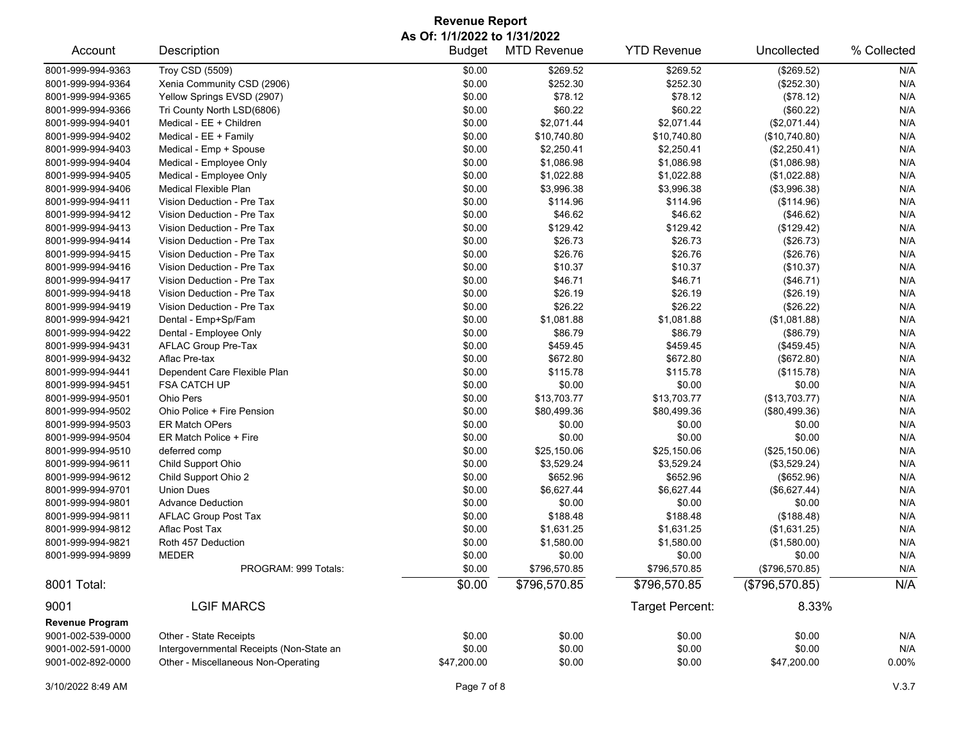## **Revenue Report As Of: 1/1/2022 to 1/31/2022**

| Account                | Description                              | <b>Budget</b> | <b>MTD Revenue</b> | <b>YTD Revenue</b> | Uncollected    | % Collected |
|------------------------|------------------------------------------|---------------|--------------------|--------------------|----------------|-------------|
| 8001-999-994-9363      | <b>Troy CSD (5509)</b>                   | \$0.00        | \$269.52           | \$269.52           | (\$269.52)     | N/A         |
| 8001-999-994-9364      | Xenia Community CSD (2906)               | \$0.00        | \$252.30           | \$252.30           | (\$252.30)     | N/A         |
| 8001-999-994-9365      | Yellow Springs EVSD (2907)               | \$0.00        | \$78.12            | \$78.12            | (\$78.12)      | N/A         |
| 8001-999-994-9366      | Tri County North LSD(6806)               | \$0.00        | \$60.22            | \$60.22            | (\$60.22)      | N/A         |
| 8001-999-994-9401      | Medical - EE + Children                  | \$0.00        | \$2,071.44         | \$2,071.44         | (\$2,071.44)   | N/A         |
| 8001-999-994-9402      | Medical - EE + Family                    | \$0.00        | \$10,740.80        | \$10,740.80        | (\$10,740.80)  | N/A         |
| 8001-999-994-9403      | Medical - Emp + Spouse                   | \$0.00        | \$2,250.41         | \$2,250.41         | (\$2,250.41)   | N/A         |
| 8001-999-994-9404      | Medical - Employee Only                  | \$0.00        | \$1,086.98         | \$1,086.98         | (\$1,086.98)   | N/A         |
| 8001-999-994-9405      | Medical - Employee Only                  | \$0.00        | \$1,022.88         | \$1,022.88         | (\$1,022.88)   | N/A         |
| 8001-999-994-9406      | <b>Medical Flexible Plan</b>             | \$0.00        | \$3,996.38         | \$3,996.38         | (\$3,996.38)   | N/A         |
| 8001-999-994-9411      | Vision Deduction - Pre Tax               | \$0.00        | \$114.96           | \$114.96           | (\$114.96)     | N/A         |
| 8001-999-994-9412      | Vision Deduction - Pre Tax               | \$0.00        | \$46.62            | \$46.62            | (\$46.62)      | N/A         |
| 8001-999-994-9413      | Vision Deduction - Pre Tax               | \$0.00        | \$129.42           | \$129.42           | (\$129.42)     | N/A         |
| 8001-999-994-9414      | Vision Deduction - Pre Tax               | \$0.00        | \$26.73            | \$26.73            | (\$26.73)      | N/A         |
| 8001-999-994-9415      | Vision Deduction - Pre Tax               | \$0.00        | \$26.76            | \$26.76            | (\$26.76)      | N/A         |
| 8001-999-994-9416      | Vision Deduction - Pre Tax               | \$0.00        | \$10.37            | \$10.37            | (\$10.37)      | N/A         |
| 8001-999-994-9417      | Vision Deduction - Pre Tax               | \$0.00        | \$46.71            | \$46.71            | (\$46.71)      | N/A         |
| 8001-999-994-9418      | Vision Deduction - Pre Tax               | \$0.00        | \$26.19            | \$26.19            | (\$26.19)      | N/A         |
| 8001-999-994-9419      | Vision Deduction - Pre Tax               | \$0.00        | \$26.22            | \$26.22            | (\$26.22)      | N/A         |
| 8001-999-994-9421      | Dental - Emp+Sp/Fam                      | \$0.00        | \$1,081.88         | \$1,081.88         | (\$1,081.88)   | N/A         |
| 8001-999-994-9422      | Dental - Employee Only                   | \$0.00        | \$86.79            | \$86.79            | (\$86.79)      | N/A         |
| 8001-999-994-9431      | AFLAC Group Pre-Tax                      | \$0.00        | \$459.45           | \$459.45           | (\$459.45)     | N/A         |
| 8001-999-994-9432      | Aflac Pre-tax                            | \$0.00        | \$672.80           | \$672.80           | (\$672.80)     | N/A         |
| 8001-999-994-9441      | Dependent Care Flexible Plan             | \$0.00        | \$115.78           | \$115.78           | (\$115.78)     | N/A         |
| 8001-999-994-9451      | <b>FSA CATCH UP</b>                      | \$0.00        | \$0.00             | \$0.00             | \$0.00         | N/A         |
| 8001-999-994-9501      | Ohio Pers                                | \$0.00        | \$13,703.77        | \$13,703.77        | (\$13,703.77)  | N/A         |
| 8001-999-994-9502      | Ohio Police + Fire Pension               | \$0.00        | \$80,499.36        | \$80,499.36        | (\$80,499.36)  | N/A         |
| 8001-999-994-9503      | <b>ER Match OPers</b>                    | \$0.00        | \$0.00             | \$0.00             | \$0.00         | N/A         |
| 8001-999-994-9504      | ER Match Police + Fire                   | \$0.00        | \$0.00             | \$0.00             | \$0.00         | N/A         |
| 8001-999-994-9510      | deferred comp                            | \$0.00        | \$25,150.06        | \$25,150.06        | (\$25,150.06)  | N/A         |
| 8001-999-994-9611      | Child Support Ohio                       | \$0.00        | \$3,529.24         | \$3,529.24         | (\$3,529.24)   | N/A         |
| 8001-999-994-9612      | Child Support Ohio 2                     | \$0.00        | \$652.96           | \$652.96           | (\$652.96)     | N/A         |
| 8001-999-994-9701      | <b>Union Dues</b>                        | \$0.00        | \$6,627.44         | \$6,627.44         | (\$6,627.44)   | N/A         |
| 8001-999-994-9801      | <b>Advance Deduction</b>                 | \$0.00        | \$0.00             | \$0.00             | \$0.00         | N/A         |
| 8001-999-994-9811      | <b>AFLAC Group Post Tax</b>              | \$0.00        | \$188.48           | \$188.48           | (\$188.48)     | N/A         |
| 8001-999-994-9812      | Aflac Post Tax                           | \$0.00        | \$1,631.25         | \$1,631.25         | (\$1,631.25)   | N/A         |
| 8001-999-994-9821      | Roth 457 Deduction                       | \$0.00        | \$1,580.00         | \$1,580.00         | (\$1,580.00)   | N/A         |
| 8001-999-994-9899      | MEDER                                    | \$0.00        | \$0.00             | \$0.00             | \$0.00         | N/A         |
|                        | PROGRAM: 999 Totals:                     | \$0.00        | \$796,570.85       | \$796,570.85       | (\$796,570.85) | N/A         |
| 8001 Total:            |                                          | \$0.00        | \$796,570.85       | \$796,570.85       | (\$796,570.85) | N/A         |
| 9001                   | <b>LGIF MARCS</b>                        |               |                    | Target Percent:    | 8.33%          |             |
| <b>Revenue Program</b> |                                          |               |                    |                    |                |             |
| 9001-002-539-0000      | Other - State Receipts                   | \$0.00        | \$0.00             | \$0.00             | \$0.00         | N/A         |
| 9001-002-591-0000      | Intergovernmental Receipts (Non-State an | \$0.00        | \$0.00             | \$0.00             | \$0.00         | N/A         |
| 9001-002-892-0000      | Other - Miscellaneous Non-Operating      | \$47,200.00   | \$0.00             | \$0.00             | \$47,200.00    | $0.00\%$    |